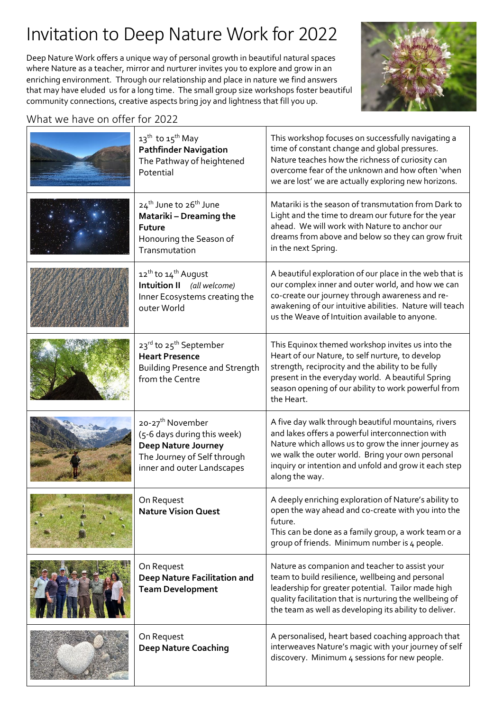## Invitation to Deep Nature Work for 2022

Deep Nature Work offers a unique way of personal growth in beautiful natural spaces where Nature as a teacher, mirror and nurturer invites you to explore and grow in an enriching environment. Through our relationship and place in nature we find answers that may have eluded us for a long time. The small group size workshops foster beautiful community connections, creative aspects bring joy and lightness that fill you up.



### What we have on offer for 2022

| 13 <sup>th</sup> to 15 <sup>th</sup> May<br><b>Pathfinder Navigation</b><br>The Pathway of heightened<br>Potential                                     | This workshop focuses on successfully navigating a<br>time of constant change and global pressures.<br>Nature teaches how the richness of curiosity can<br>overcome fear of the unknown and how often 'when<br>we are lost' we are actually exploring new horizons.                           |
|--------------------------------------------------------------------------------------------------------------------------------------------------------|-----------------------------------------------------------------------------------------------------------------------------------------------------------------------------------------------------------------------------------------------------------------------------------------------|
| 24 <sup>th</sup> June to 26 <sup>th</sup> June<br>Matariki - Dreaming the<br><b>Future</b><br>Honouring the Season of<br>Transmutation                 | Matariki is the season of transmutation from Dark to<br>Light and the time to dream our future for the year<br>ahead. We will work with Nature to anchor our<br>dreams from above and below so they can grow fruit<br>in the next Spring.                                                     |
| 12 <sup>th</sup> to 14 <sup>th</sup> August<br>Intuition II (all welcome)<br>Inner Ecosystems creating the<br>outer World                              | A beautiful exploration of our place in the web that is<br>our complex inner and outer world, and how we can<br>co-create our journey through awareness and re-<br>awakening of our intuitive abilities. Nature will teach<br>us the Weave of Intuition available to anyone.                  |
| 23rd to 25 <sup>th</sup> September<br><b>Heart Presence</b><br><b>Building Presence and Strength</b><br>from the Centre                                | This Equinox themed workshop invites us into the<br>Heart of our Nature, to self nurture, to develop<br>strength, reciprocity and the ability to be fully<br>present in the everyday world. A beautiful Spring<br>season opening of our ability to work powerful from<br>the Heart.           |
| 20-27 <sup>th</sup> November<br>(5-6 days during this week)<br><b>Deep Nature Journey</b><br>The Journey of Self through<br>inner and outer Landscapes | A five day walk through beautiful mountains, rivers<br>and lakes offers a powerful interconnection with<br>Nature which allows us to grow the inner journey as<br>we walk the outer world. Bring your own personal<br>inquiry or intention and unfold and grow it each step<br>along the way. |
| On Request<br><b>Nature Vision Quest</b>                                                                                                               | A deeply enriching exploration of Nature's ability to<br>open the way ahead and co-create with you into the<br>future.<br>This can be done as a family group, a work team or a<br>group of friends. Minimum number is 4 people.                                                               |
| On Request<br>Deep Nature Facilitation and<br><b>Team Development</b>                                                                                  | Nature as companion and teacher to assist your<br>team to build resilience, wellbeing and personal<br>leadership for greater potential. Tailor made high<br>quality facilitation that is nurturing the wellbeing of<br>the team as well as developing its ability to deliver.                 |
| On Request<br><b>Deep Nature Coaching</b>                                                                                                              | A personalised, heart based coaching approach that<br>interweaves Nature's magic with your journey of self<br>discovery. Minimum 4 sessions for new people.                                                                                                                                   |